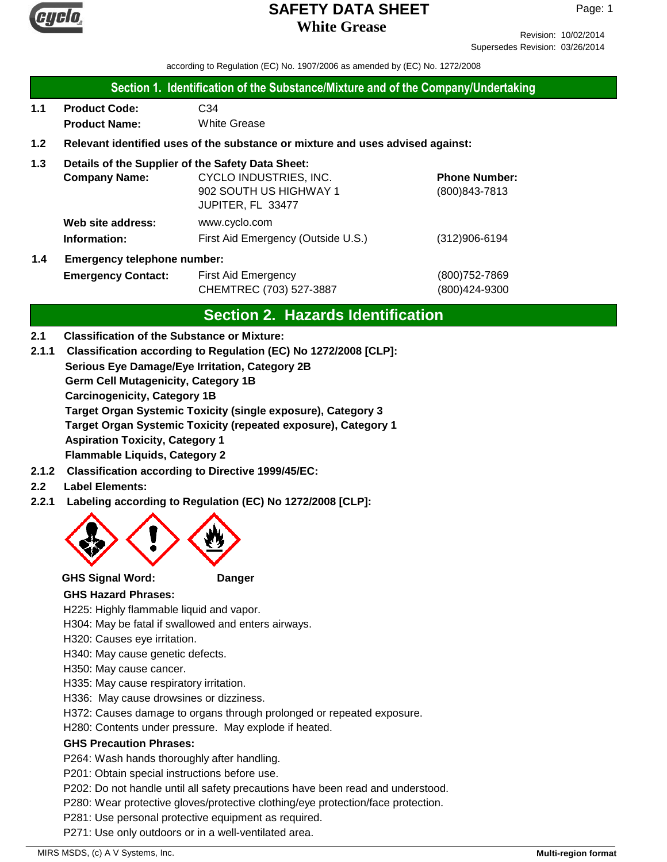

Revision: 10/02/2014 Supersedes Revision: 03/26/2014

according to Regulation (EC) No. 1907/2006 as amended by (EC) No. 1272/2008

#### **Section 1. Identification of the Substance/Mixture and of the Company/Undertaking**

**1.1 Product Code:** C34 **Product Name:** White Grease

#### **1.2 Relevant identified uses of the substance or mixture and uses advised against:**

#### **1.3 Details of the Supplier of the Safety Data Sheet:**

| <b>Company Name:</b>       | CYCLO INDUSTRIES, INC.             | <b>Phone Number:</b> |
|----------------------------|------------------------------------|----------------------|
|                            | 902 SOUTH US HIGHWAY 1             | (800) 843-7813       |
|                            | JUPITER, FL 33477                  |                      |
| Web site address:          | www.cyclo.com                      |                      |
| Information:               | First Aid Emergency (Outside U.S.) | $(312)906 - 6194$    |
| Emergency telephone number |                                    |                      |

# **1.4 Emergency telephone number:**

**Emergency Contact:** First Aid Emergency **Emergency** (800)752-7869 CHEMTREC (703) 527-3887 (800)424-9300

# **Section 2. Hazards Identification**

#### **2.1 Classification of the Substance or Mixture:**

- **Serious Eye Damage/Eye Irritation, Category 2B Germ Cell Mutagenicity, Category 1B Carcinogenicity, Category 1B Target Organ Systemic Toxicity (single exposure), Category 3 Target Organ Systemic Toxicity (repeated exposure), Category 1 Aspiration Toxicity, Category 1 Flammable Liquids, Category 2 2.1.1 Classification according to Regulation (EC) No 1272/2008 [CLP]:**
- **2.1.2 Classification according to Directive 1999/45/EC:**

#### **2.2 Label Elements:**

**2.2.1 Labeling according to Regulation (EC) No 1272/2008 [CLP]:**



**GHS Signal Word: Danger**

#### **GHS Hazard Phrases:**

H225: Highly flammable liquid and vapor.

H304: May be fatal if swallowed and enters airways.

H320: Causes eye irritation.

H340: May cause genetic defects.

H350: May cause cancer.

H335: May cause respiratory irritation.

H336: May cause drowsines or dizziness.

H372: Causes damage to organs through prolonged or repeated exposure.

H280: Contents under pressure. May explode if heated.

#### **GHS Precaution Phrases:**

P264: Wash hands thoroughly after handling.

P201: Obtain special instructions before use.

P202: Do not handle until all safety precautions have been read and understood.

P280: Wear protective gloves/protective clothing/eye protection/face protection.

P281: Use personal protective equipment as required.

P271: Use only outdoors or in a well-ventilated area.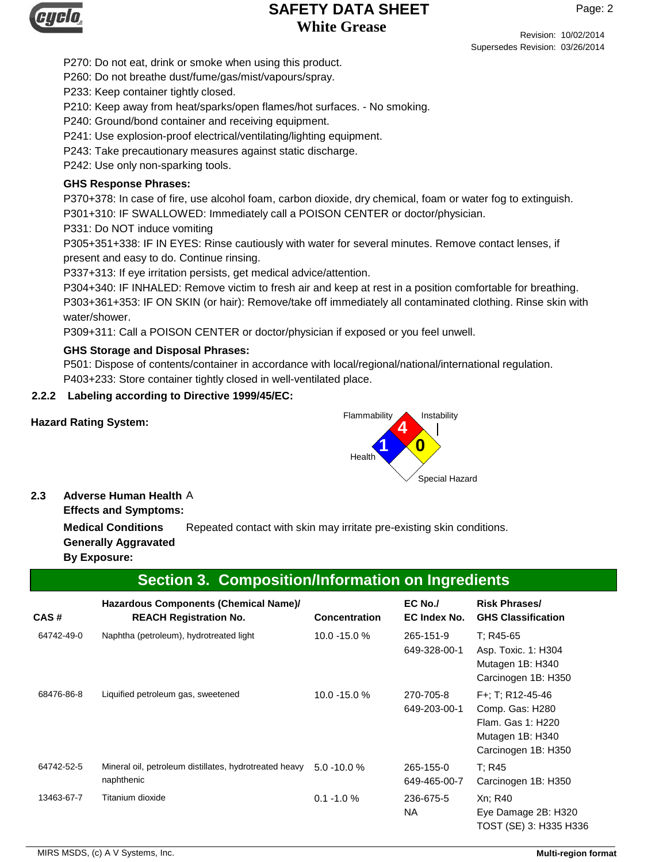

Revision: 10/02/2014 Supersedes Revision: 03/26/2014

P270: Do not eat, drink or smoke when using this product.

P260: Do not breathe dust/fume/gas/mist/vapours/spray.

P233: Keep container tightly closed.

P210: Keep away from heat/sparks/open flames/hot surfaces. - No smoking.

P240: Ground/bond container and receiving equipment.

P241: Use explosion-proof electrical/ventilating/lighting equipment.

P243: Take precautionary measures against static discharge.

P242: Use only non-sparking tools.

### **GHS Response Phrases:**

P370+378: In case of fire, use alcohol foam, carbon dioxide, dry chemical, foam or water fog to extinguish.

P301+310: IF SWALLOWED: Immediately call a POISON CENTER or doctor/physician.

P331: Do NOT induce vomiting

P305+351+338: IF IN EYES: Rinse cautiously with water for several minutes. Remove contact lenses, if present and easy to do. Continue rinsing.

P337+313: If eye irritation persists, get medical advice/attention.

P304+340: IF INHALED: Remove victim to fresh air and keep at rest in a position comfortable for breathing. P303+361+353: IF ON SKIN (or hair): Remove/take off immediately all contaminated clothing. Rinse skin with water/shower.

P309+311: Call a POISON CENTER or doctor/physician if exposed or you feel unwell.

#### **GHS Storage and Disposal Phrases:**

P501: Dispose of contents/container in accordance with local/regional/national/international regulation. P403+233: Store container tightly closed in well-ventilated place.

#### **2.2.2 Labeling according to Directive 1999/45/EC:**



#### **2.3 Adverse Human Health** A

**Effects and Symptoms:**

**Medical Conditions** Repeated contact with skin may irritate pre-existing skin conditions. **Generally Aggravated**

### **By Exposure:**

# **Section 3. Composition/Information on Ingredients**

| CAS#       | Hazardous Components (Chemical Name)/<br><b>REACH Registration No.</b> | <b>Concentration</b> | EC No./<br>EC Index No.   | <b>Risk Phrases/</b><br><b>GHS Classification</b>                                                   |
|------------|------------------------------------------------------------------------|----------------------|---------------------------|-----------------------------------------------------------------------------------------------------|
| 64742-49-0 | Naphtha (petroleum), hydrotreated light                                | 10.0 -15.0 %         | 265-151-9<br>649-328-00-1 | T: R45-65<br>Asp. Toxic. 1: H304<br>Mutagen 1B: H340<br>Carcinogen 1B: H350                         |
| 68476-86-8 | Liquified petroleum gas, sweetened                                     | 10.0 -15.0 %         | 270-705-8<br>649-203-00-1 | F+; T; R12-45-46<br>Comp. Gas: H280<br>Flam, Gas 1: H220<br>Mutagen 1B: H340<br>Carcinogen 1B: H350 |
| 64742-52-5 | Mineral oil, petroleum distillates, hydrotreated heavy<br>naphthenic   | $5.0 - 10.0 %$       | 265-155-0<br>649-465-00-7 | T: R45<br>Carcinogen 1B: H350                                                                       |
| 13463-67-7 | Titanium dioxide                                                       | $0.1 - 1.0 %$        | 236-675-5<br><b>NA</b>    | Xn; R40<br>Eye Damage 2B: H320<br>TOST (SE) 3: H335 H336                                            |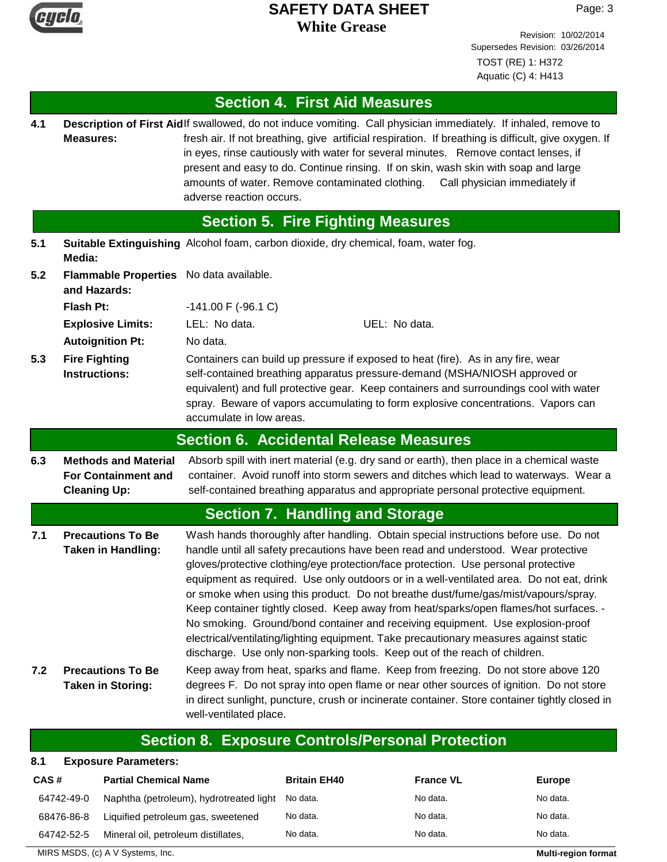

Revision: 10/02/2014 Supersedes Revision: 03/26/2014 TOST (RE) 1: H372 Aquatic (C) 4: H413

# **Section 4. First Aid Measures**

Description of First Aidlf swallowed, do not induce vomiting. Call physician immediately. If inhaled, remove to fresh air. If not breathing, give artificial respiration. If breathing is difficult, give oxygen. If in eyes, rinse cautiously with water for several minutes. Remove contact lenses, if present and easy to do. Continue rinsing. If on skin, wash skin with soap and large amounts of water. Remove contaminated clothing. Call physician immediately if adverse reaction occurs. **Measures: 4.1**

# **Section 5. Fire Fighting Measures**

- **5.1 Suitable Extinguishing** Alcohol foam, carbon dioxide, dry chemical, foam, water fog. **Media:**
- **5.2 Flash Pt:** -141.00 F (-96.1 C) **Explosive Limits:** LEL: No data. UEL: No data. **Flammable Properties** No data available. **and Hazards:**

**Autoignition Pt:** No data.

Containers can build up pressure if exposed to heat (fire). As in any fire, wear self-contained breathing apparatus pressure-demand (MSHA/NIOSH approved or equivalent) and full protective gear. Keep containers and surroundings cool with water spray. Beware of vapors accumulating to form explosive concentrations. Vapors can accumulate in low areas. **Fire Fighting Instructions: 5.3**

### **Section 6. Accidental Release Measures**

**6.3** Absorb spill with inert material (e.g. dry sand or earth), then place in a chemical waste container. Avoid runoff into storm sewers and ditches which lead to waterways. Wear a self-contained breathing apparatus and appropriate personal protective equipment. **Methods and Material For Containment and Cleaning Up:**

# **Section 7. Handling and Storage**

- **7.1** Wash hands thoroughly after handling. Obtain special instructions before use. Do not handle until all safety precautions have been read and understood. Wear protective gloves/protective clothing/eye protection/face protection. Use personal protective equipment as required. Use only outdoors or in a well-ventilated area. Do not eat, drink or smoke when using this product. Do not breathe dust/fume/gas/mist/vapours/spray. Keep container tightly closed. Keep away from heat/sparks/open flames/hot surfaces. - No smoking. Ground/bond container and receiving equipment. Use explosion-proof electrical/ventilating/lighting equipment. Take precautionary measures against static discharge. Use only non-sparking tools. Keep out of the reach of children. **Precautions To Be Taken in Handling:**
- **7.2** Keep away from heat, sparks and flame. Keep from freezing. Do not store above 120 degrees F. Do not spray into open flame or near other sources of ignition. Do not store in direct sunlight, puncture, crush or incinerate container. Store container tightly closed in well-ventilated place. **Precautions To Be Taken in Storing:**

# **Section 8. Exposure Controls/Personal Protection**

#### **8.1 Exposure Parameters:**

| CAS#       | <b>Partial Chemical Name</b>            | <b>Britain EH40</b> | <b>France VL</b> | <b>Europe</b> |
|------------|-----------------------------------------|---------------------|------------------|---------------|
| 64742-49-0 | Naphtha (petroleum), hydrotreated light | No data.            | No data.         | No data.      |
| 68476-86-8 | Liquified petroleum gas, sweetened      | No data.            | No data.         | No data.      |
| 64742-52-5 | Mineral oil, petroleum distillates,     | No data.            | No data.         | No data.      |

MIRS MSDS, (c) A V Systems, Inc. **Multi-region format Multi-region format Multi-region format**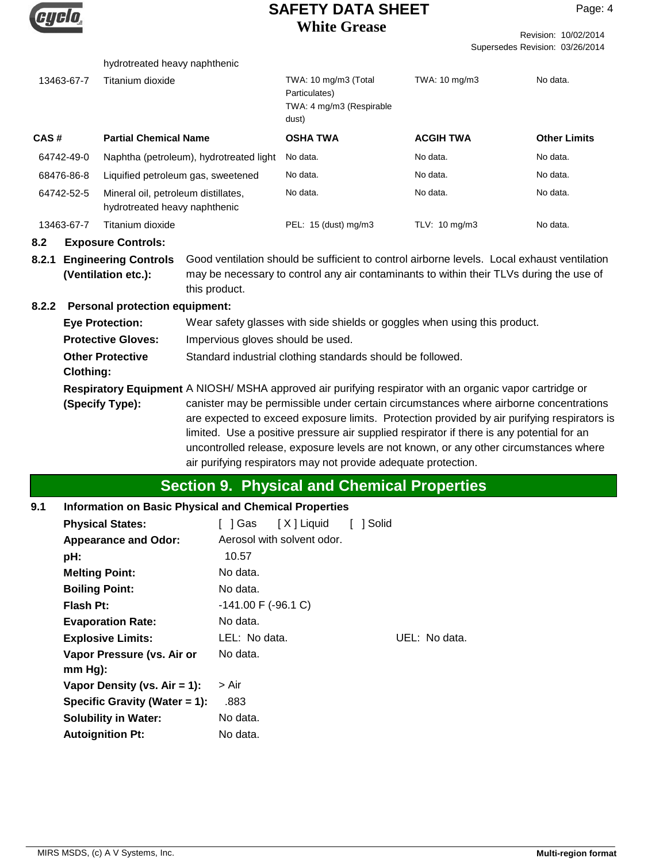

Revision: 10/02/2014 Supersedes Revision: 03/26/2014

|                                      |            | hydrotreated heavy naphthenic                                                                                                                                                                                                                                                                                                                                                                                                                |                                                                           |                                                                                                                                                                                        |                  |                     |  |
|--------------------------------------|------------|----------------------------------------------------------------------------------------------------------------------------------------------------------------------------------------------------------------------------------------------------------------------------------------------------------------------------------------------------------------------------------------------------------------------------------------------|---------------------------------------------------------------------------|----------------------------------------------------------------------------------------------------------------------------------------------------------------------------------------|------------------|---------------------|--|
|                                      | 13463-67-7 | Titanium dioxide                                                                                                                                                                                                                                                                                                                                                                                                                             |                                                                           | TWA: 10 mg/m3 (Total<br>Particulates)<br>TWA: 4 mg/m3 (Respirable<br>dust)                                                                                                             | TWA: 10 mg/m3    | No data.            |  |
| CAS#                                 |            | <b>Partial Chemical Name</b>                                                                                                                                                                                                                                                                                                                                                                                                                 |                                                                           | <b>OSHA TWA</b>                                                                                                                                                                        | <b>ACGIH TWA</b> | <b>Other Limits</b> |  |
|                                      | 64742-49-0 |                                                                                                                                                                                                                                                                                                                                                                                                                                              | Naphtha (petroleum), hydrotreated light                                   | No data.                                                                                                                                                                               | No data.         | No data.            |  |
|                                      | 68476-86-8 | Liquified petroleum gas, sweetened                                                                                                                                                                                                                                                                                                                                                                                                           |                                                                           | No data.                                                                                                                                                                               | No data.         | No data.            |  |
|                                      | 64742-52-5 | Mineral oil, petroleum distillates,<br>hydrotreated heavy naphthenic                                                                                                                                                                                                                                                                                                                                                                         |                                                                           | No data.                                                                                                                                                                               | No data.         | No data.            |  |
|                                      | 13463-67-7 | Titanium dioxide                                                                                                                                                                                                                                                                                                                                                                                                                             |                                                                           | PEL: 15 (dust) mg/m3                                                                                                                                                                   | TLV: 10 mg/m3    | No data.            |  |
| 8.2                                  |            | <b>Exposure Controls:</b>                                                                                                                                                                                                                                                                                                                                                                                                                    |                                                                           |                                                                                                                                                                                        |                  |                     |  |
| 8.2.1                                |            | <b>Engineering Controls</b><br>(Ventilation etc.):                                                                                                                                                                                                                                                                                                                                                                                           | this product.                                                             | Good ventilation should be sufficient to control airborne levels. Local exhaust ventilation<br>may be necessary to control any air contaminants to within their TLVs during the use of |                  |                     |  |
| 8.2.2                                |            | <b>Personal protection equipment:</b>                                                                                                                                                                                                                                                                                                                                                                                                        |                                                                           |                                                                                                                                                                                        |                  |                     |  |
|                                      |            | <b>Eye Protection:</b>                                                                                                                                                                                                                                                                                                                                                                                                                       | Wear safety glasses with side shields or goggles when using this product. |                                                                                                                                                                                        |                  |                     |  |
|                                      |            | <b>Protective Gloves:</b>                                                                                                                                                                                                                                                                                                                                                                                                                    | Impervious gloves should be used.                                         |                                                                                                                                                                                        |                  |                     |  |
| <b>Other Protective</b><br>Clothing: |            | Standard industrial clothing standards should be followed.                                                                                                                                                                                                                                                                                                                                                                                   |                                                                           |                                                                                                                                                                                        |                  |                     |  |
|                                      |            |                                                                                                                                                                                                                                                                                                                                                                                                                                              |                                                                           | Respiratory Equipment A NIOSH/ MSHA approved air purifying respirator with an organic vapor cartridge or                                                                               |                  |                     |  |
| (Specify Type):                      |            | canister may be permissible under certain circumstances where airborne concentrations<br>are expected to exceed exposure limits. Protection provided by air purifying respirators is<br>limited. Use a positive pressure air supplied respirator if there is any potential for an<br>uncontrolled release, exposure levels are not known, or any other circumstances where<br>air purifying respirators may not provide adequate protection. |                                                                           |                                                                                                                                                                                        |                  |                     |  |

# **Section 9. Physical and Chemical Properties**

#### **9.1 Information on Basic Physical and Chemical Properties**

| <b>Physical States:</b>         | [X] Liquid<br>1 Solid<br>1 Gas |
|---------------------------------|--------------------------------|
| <b>Appearance and Odor:</b>     | Aerosol with solvent odor.     |
| pH:                             | 10.57                          |
| <b>Melting Point:</b>           | No data.                       |
| <b>Boiling Point:</b>           | No data.                       |
| <b>Flash Pt:</b>                | $-141.00$ F ( $-96.1$ C)       |
| <b>Evaporation Rate:</b>        | No data.                       |
| <b>Explosive Limits:</b>        | UEL: No data.<br>LEL: No data. |
| Vapor Pressure (vs. Air or      | No data.                       |
| $mm Hg$ :                       |                                |
| Vapor Density (vs. $Air = 1$ ): | > Air                          |
| Specific Gravity (Water = 1):   | .883                           |
| <b>Solubility in Water:</b>     | No data.                       |
| <b>Autoignition Pt:</b>         | No data.                       |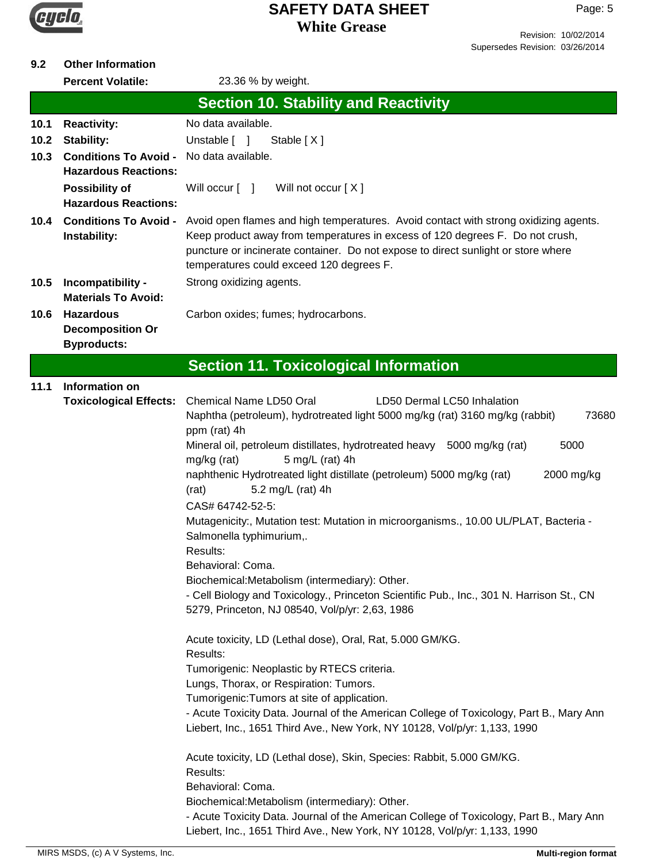

Page: 5

#### **9.2 Other Information**

**Percent Volatile:** 23.36 % by weight. **10.4 Conditions To Avoid - 10.5 10.6 10.1 10.2 10.3 Conditions To Avoid -** No data available. **Section 10. Stability and Reactivity** Avoid open flames and high temperatures. Avoid contact with strong oxidizing agents. Keep product away from temperatures in excess of 120 degrees F. Do not crush, puncture or incinerate container. Do not expose to direct sunlight or store where temperatures could exceed 120 degrees F. **Instability:** Unstable [ ] Stable [ X ] **Strong oxidizing agents. Materials To Avoid:** Carbon oxides; fumes; hydrocarbons. **Decomposition Or Byproducts: Possibility of** Will occur [ ] Will not occur [ X ] **Hazardous Reactions: Hazardous Reactions: Reactivity:** No data available. **11.1 Section 11. Toxicological Information** Chemical Name LD50 Oral LD50 Dermal LC50 Inhalation Naphtha (petroleum), hydrotreated light 5000 mg/kg (rat) 3160 mg/kg (rabbit) 73680 ppm (rat) 4h Mineral oil, petroleum distillates, hydrotreated heavy 5000 mg/kg (rat) 5000 mg/kg (rat) 5 mg/L (rat) 4h naphthenic Hydrotreated light distillate (petroleum) 5000 mg/kg (rat) 2000 mg/kg (rat) 5.2 mg/L (rat) 4h **Information on Toxicological Effects:** CAS# 64742-52-5: Mutagenicity:, Mutation test: Mutation in microorganisms., 10.00 UL/PLAT, Bacteria - Salmonella typhimurium,. Results: Behavioral: Coma. Biochemical:Metabolism (intermediary): Other. - Cell Biology and Toxicology., Princeton Scientific Pub., Inc., 301 N. Harrison St., CN 5279, Princeton, NJ 08540, Vol/p/yr: 2,63, 1986 Acute toxicity, LD (Lethal dose), Oral, Rat, 5.000 GM/KG. Results: Tumorigenic: Neoplastic by RTECS criteria. Lungs, Thorax, or Respiration: Tumors. Tumorigenic:Tumors at site of application. - Acute Toxicity Data. Journal of the American College of Toxicology, Part B., Mary Ann Liebert, Inc., 1651 Third Ave., New York, NY 10128, Vol/p/yr: 1,133, 1990 Acute toxicity, LD (Lethal dose), Skin, Species: Rabbit, 5.000 GM/KG. Results: Behavioral: Coma. Biochemical:Metabolism (intermediary): Other. - Acute Toxicity Data. Journal of the American College of Toxicology, Part B., Mary Ann Liebert, Inc., 1651 Third Ave., New York, NY 10128, Vol/p/yr: 1,133, 1990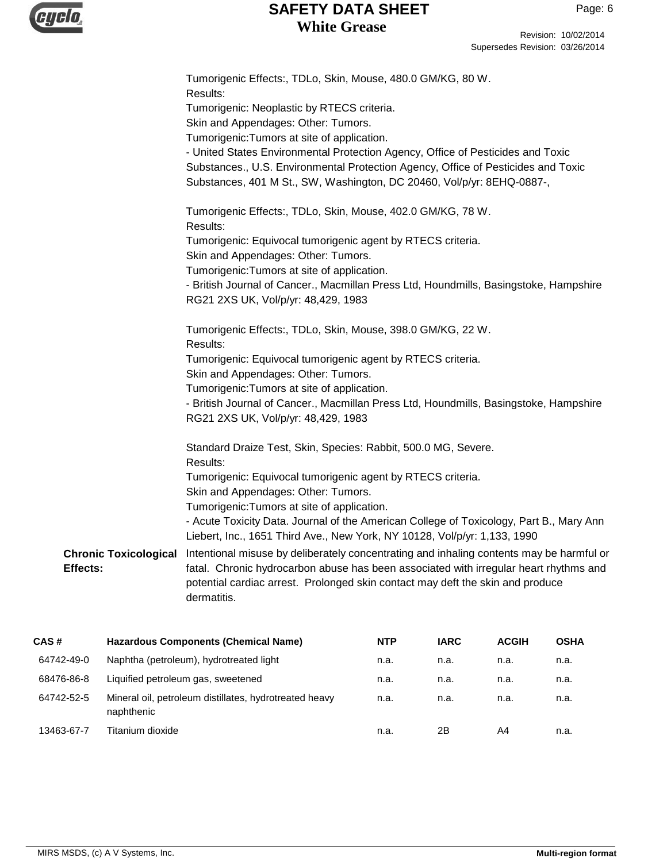

|                                          | Tumorigenic Effects:, TDLo, Skin, Mouse, 480.0 GM/KG, 80 W.<br>Results:                                                                                                                                                                                             |
|------------------------------------------|---------------------------------------------------------------------------------------------------------------------------------------------------------------------------------------------------------------------------------------------------------------------|
|                                          | Tumorigenic: Neoplastic by RTECS criteria.                                                                                                                                                                                                                          |
|                                          | Skin and Appendages: Other: Tumors.                                                                                                                                                                                                                                 |
|                                          | Tumorigenic: Tumors at site of application.                                                                                                                                                                                                                         |
|                                          | - United States Environmental Protection Agency, Office of Pesticides and Toxic                                                                                                                                                                                     |
|                                          | Substances., U.S. Environmental Protection Agency, Office of Pesticides and Toxic                                                                                                                                                                                   |
|                                          | Substances, 401 M St., SW, Washington, DC 20460, Vol/p/yr: 8EHQ-0887-,                                                                                                                                                                                              |
|                                          | Tumorigenic Effects:, TDLo, Skin, Mouse, 402.0 GM/KG, 78 W.<br>Results:                                                                                                                                                                                             |
|                                          | Tumorigenic: Equivocal tumorigenic agent by RTECS criteria.                                                                                                                                                                                                         |
|                                          | Skin and Appendages: Other: Tumors.                                                                                                                                                                                                                                 |
|                                          | Tumorigenic: Tumors at site of application.                                                                                                                                                                                                                         |
|                                          | - British Journal of Cancer., Macmillan Press Ltd, Houndmills, Basingstoke, Hampshire                                                                                                                                                                               |
|                                          | RG21 2XS UK, Vol/p/yr: 48,429, 1983                                                                                                                                                                                                                                 |
|                                          | Tumorigenic Effects:, TDLo, Skin, Mouse, 398.0 GM/KG, 22 W.<br>Results:                                                                                                                                                                                             |
|                                          | Tumorigenic: Equivocal tumorigenic agent by RTECS criteria.<br>Skin and Appendages: Other: Tumors.                                                                                                                                                                  |
|                                          | Tumorigenic: Tumors at site of application.                                                                                                                                                                                                                         |
|                                          | - British Journal of Cancer., Macmillan Press Ltd, Houndmills, Basingstoke, Hampshire<br>RG21 2XS UK, Vol/p/yr: 48,429, 1983                                                                                                                                        |
|                                          | Standard Draize Test, Skin, Species: Rabbit, 500.0 MG, Severe.<br>Results:                                                                                                                                                                                          |
|                                          | Tumorigenic: Equivocal tumorigenic agent by RTECS criteria.                                                                                                                                                                                                         |
|                                          | Skin and Appendages: Other: Tumors.                                                                                                                                                                                                                                 |
|                                          | Tumorigenic: Tumors at site of application.                                                                                                                                                                                                                         |
|                                          | - Acute Toxicity Data. Journal of the American College of Toxicology, Part B., Mary Ann<br>Liebert, Inc., 1651 Third Ave., New York, NY 10128, Vol/p/yr: 1,133, 1990                                                                                                |
| <b>Chronic Toxicological</b><br>Effects: | Intentional misuse by deliberately concentrating and inhaling contents may be harmful or<br>fatal. Chronic hydrocarbon abuse has been associated with irregular heart rhythms and<br>potential cardiac arrest. Prolonged skin contact may deft the skin and produce |
|                                          | dermatitis.                                                                                                                                                                                                                                                         |
|                                          |                                                                                                                                                                                                                                                                     |

| CAS#       | <b>Hazardous Components (Chemical Name)</b>                          | <b>NTP</b> | <b>IARC</b> | <b>ACGIH</b> | <b>OSHA</b> |
|------------|----------------------------------------------------------------------|------------|-------------|--------------|-------------|
| 64742-49-0 | Naphtha (petroleum), hydrotreated light                              | n.a.       | n.a.        | n.a.         | n.a.        |
| 68476-86-8 | Liquified petroleum gas, sweetened                                   | n.a.       | n.a.        | n.a.         | n.a.        |
| 64742-52-5 | Mineral oil, petroleum distillates, hydrotreated heavy<br>naphthenic | n.a.       | n.a.        | n.a.         | n.a.        |
| 13463-67-7 | Titanium dioxide                                                     | n.a.       | 2Β          | A4           | n.a.        |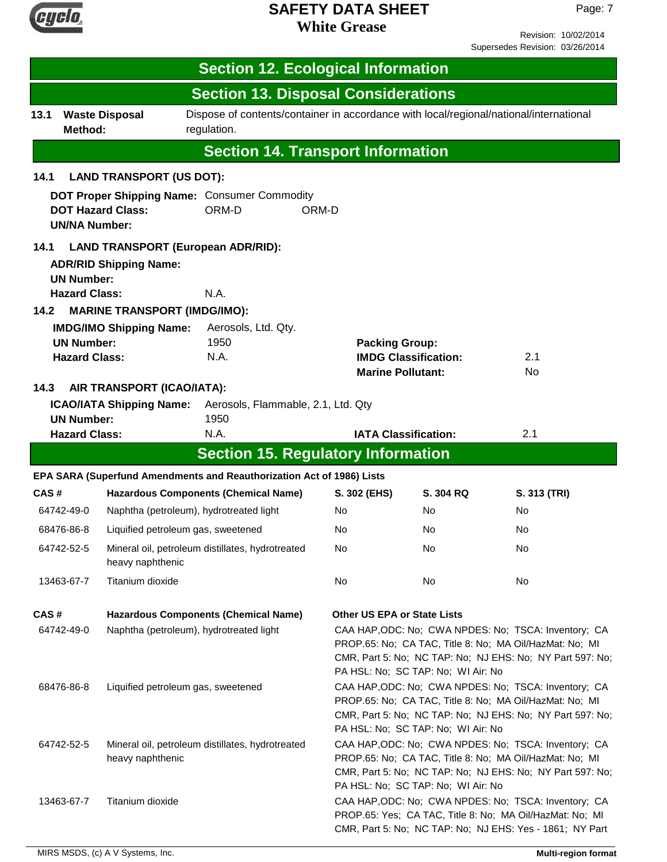

Revision: 10/02/2014 Supersedes Revision: 03/26/2014

| <b>Section 12. Ecological Information</b>                                                                                               |                                                                                                                                                                                                                                                                                                |                                                                                                       |                                                   |                                    |                                                                                                                                                                              |
|-----------------------------------------------------------------------------------------------------------------------------------------|------------------------------------------------------------------------------------------------------------------------------------------------------------------------------------------------------------------------------------------------------------------------------------------------|-------------------------------------------------------------------------------------------------------|---------------------------------------------------|------------------------------------|------------------------------------------------------------------------------------------------------------------------------------------------------------------------------|
|                                                                                                                                         |                                                                                                                                                                                                                                                                                                | <b>Section 13. Disposal Considerations</b>                                                            |                                                   |                                    |                                                                                                                                                                              |
| 13.1<br>Method:                                                                                                                         | <b>Waste Disposal</b>                                                                                                                                                                                                                                                                          | Dispose of contents/container in accordance with local/regional/national/international<br>regulation. |                                                   |                                    |                                                                                                                                                                              |
|                                                                                                                                         |                                                                                                                                                                                                                                                                                                | <b>Section 14. Transport Information</b>                                                              |                                                   |                                    |                                                                                                                                                                              |
| 14.1                                                                                                                                    | <b>LAND TRANSPORT (US DOT):</b>                                                                                                                                                                                                                                                                |                                                                                                       |                                                   |                                    |                                                                                                                                                                              |
| <b>UN/NA Number:</b>                                                                                                                    | <b>DOT Hazard Class:</b>                                                                                                                                                                                                                                                                       | DOT Proper Shipping Name: Consumer Commodity<br>ORM-D                                                 | ORM-D                                             |                                    |                                                                                                                                                                              |
| <b>LAND TRANSPORT (European ADR/RID):</b><br>14.1<br><b>ADR/RID Shipping Name:</b><br><b>UN Number:</b><br><b>Hazard Class:</b><br>N.A. |                                                                                                                                                                                                                                                                                                |                                                                                                       |                                                   |                                    |                                                                                                                                                                              |
| 14.2                                                                                                                                    | <b>MARINE TRANSPORT (IMDG/IMO):</b>                                                                                                                                                                                                                                                            |                                                                                                       |                                                   |                                    |                                                                                                                                                                              |
| <b>UN Number:</b><br><b>Hazard Class:</b>                                                                                               | <b>IMDG/IMO Shipping Name:</b>                                                                                                                                                                                                                                                                 | Aerosols, Ltd. Qty.<br>1950<br>N.A.                                                                   | <b>Packing Group:</b><br><b>Marine Pollutant:</b> | <b>IMDG Classification:</b>        | 2.1<br>No                                                                                                                                                                    |
| 14.3<br><b>UN Number:</b>                                                                                                               | AIR TRANSPORT (ICAO/IATA):<br><b>ICAO/IATA Shipping Name:</b>                                                                                                                                                                                                                                  | Aerosols, Flammable, 2.1, Ltd. Qty<br>1950                                                            |                                                   |                                    |                                                                                                                                                                              |
| <b>Hazard Class:</b>                                                                                                                    |                                                                                                                                                                                                                                                                                                | N.A.                                                                                                  | <b>IATA Classification:</b>                       |                                    | 2.1                                                                                                                                                                          |
|                                                                                                                                         |                                                                                                                                                                                                                                                                                                | <b>Section 15. Regulatory Information</b>                                                             |                                                   |                                    |                                                                                                                                                                              |
|                                                                                                                                         |                                                                                                                                                                                                                                                                                                | EPA SARA (Superfund Amendments and Reauthorization Act of 1986) Lists                                 |                                                   |                                    |                                                                                                                                                                              |
| CAS#                                                                                                                                    |                                                                                                                                                                                                                                                                                                | <b>Hazardous Components (Chemical Name)</b>                                                           | S. 302 (EHS)                                      | S. 304 RQ                          | S. 313 (TRI)                                                                                                                                                                 |
| 64742-49-0                                                                                                                              | Naphtha (petroleum), hydrotreated light                                                                                                                                                                                                                                                        |                                                                                                       | No.                                               | No                                 | No                                                                                                                                                                           |
| 68476-86-8                                                                                                                              | Liquified petroleum gas, sweetened                                                                                                                                                                                                                                                             |                                                                                                       | No.                                               | No                                 | No                                                                                                                                                                           |
| 64742-52-5                                                                                                                              | heavy naphthenic                                                                                                                                                                                                                                                                               | Mineral oil, petroleum distillates, hydrotreated                                                      | No                                                | No                                 | No                                                                                                                                                                           |
| 13463-67-7                                                                                                                              | Titanium dioxide                                                                                                                                                                                                                                                                               |                                                                                                       | No                                                | No                                 | No                                                                                                                                                                           |
| CAS#<br>64742-49-0                                                                                                                      | Naphtha (petroleum), hydrotreated light                                                                                                                                                                                                                                                        | <b>Hazardous Components (Chemical Name)</b>                                                           | <b>Other US EPA or State Lists</b>                |                                    | CAA HAP, ODC: No; CWA NPDES: No; TSCA: Inventory; CA<br>PROP.65: No; CA TAC, Title 8: No; MA Oil/HazMat: No; MI<br>CMR, Part 5: No; NC TAP: No; NJ EHS: No; NY Part 597: No; |
| 68476-86-8                                                                                                                              | PA HSL: No; SC TAP: No; WI Air: No<br>CAA HAP, ODC: No; CWA NPDES: No; TSCA: Inventory; CA<br>Liquified petroleum gas, sweetened<br>PROP.65: No; CA TAC, Title 8: No; MA Oil/HazMat: No; MI<br>CMR, Part 5: No; NC TAP: No; NJ EHS: No; NY Part 597: No;<br>PA HSL: No; SC TAP: No; WI Air: No |                                                                                                       |                                                   |                                    |                                                                                                                                                                              |
| 64742-52-5                                                                                                                              | heavy naphthenic                                                                                                                                                                                                                                                                               | Mineral oil, petroleum distillates, hydrotreated                                                      |                                                   | PA HSL: No; SC TAP: No; WI Air: No | CAA HAP, ODC: No; CWA NPDES: No; TSCA: Inventory; CA<br>PROP.65: No; CA TAC, Title 8: No; MA Oil/HazMat: No; MI<br>CMR, Part 5: No; NC TAP: No; NJ EHS: No; NY Part 597: No; |
| 13463-67-7                                                                                                                              | Titanium dioxide                                                                                                                                                                                                                                                                               |                                                                                                       |                                                   |                                    | CAA HAP, ODC: No; CWA NPDES: No; TSCA: Inventory; CA<br>PROP.65: Yes; CA TAC, Title 8: No; MA Oil/HazMat: No; MI<br>CMR, Part 5: No; NC TAP: No; NJ EHS: Yes - 1861; NY Part |